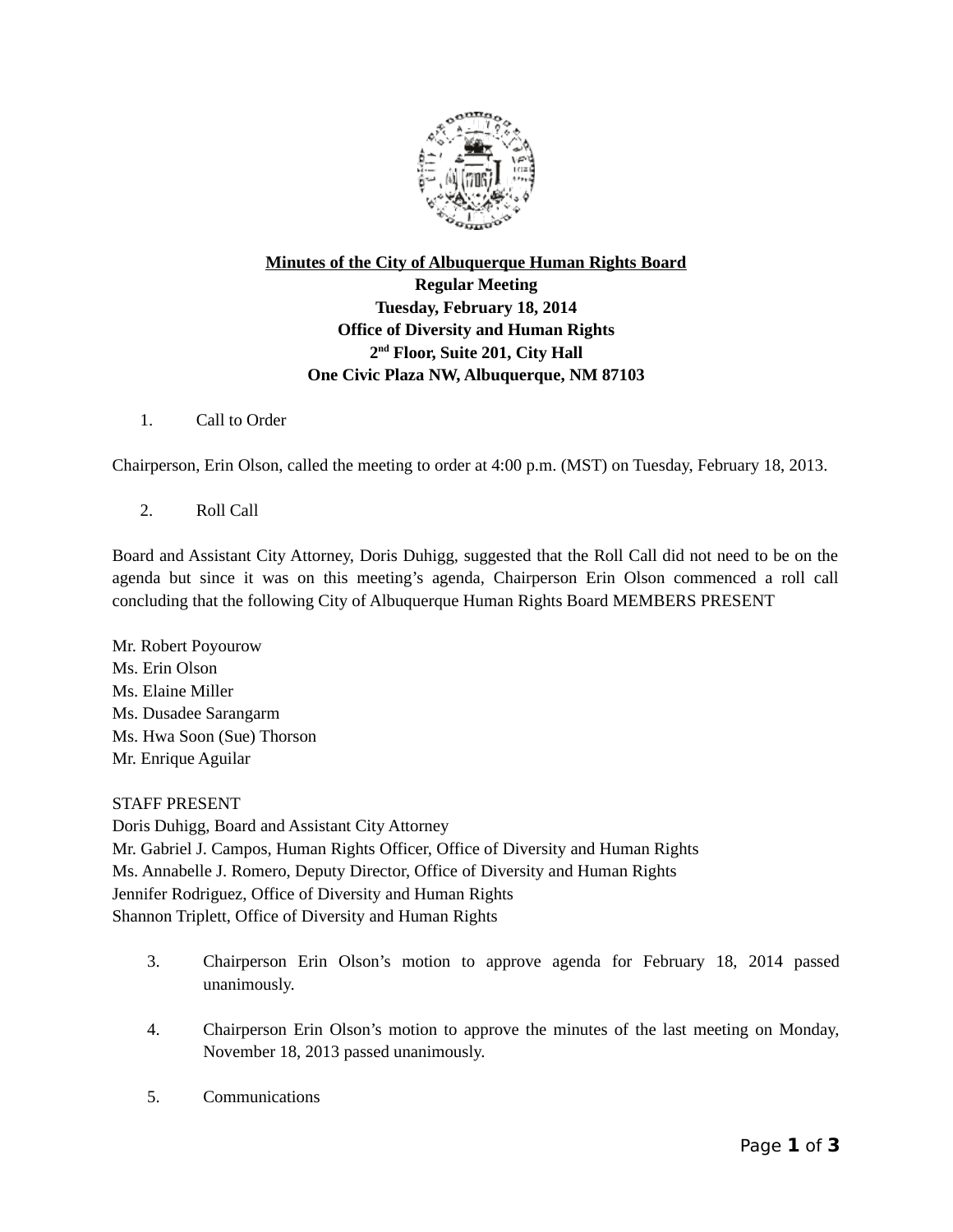

## **Minutes of the City of Albuquerque Human Rights Board Regular Meeting Tuesday, February 18, 2014 Office of Diversity and Human Rights 2 nd Floor, Suite 201, City Hall One Civic Plaza NW, Albuquerque, NM 87103**

1. Call to Order

Chairperson, Erin Olson, called the meeting to order at 4:00 p.m. (MST) on Tuesday, February 18, 2013.

2. Roll Call

Board and Assistant City Attorney, Doris Duhigg, suggested that the Roll Call did not need to be on the agenda but since it was on this meeting's agenda, Chairperson Erin Olson commenced a roll call concluding that the following City of Albuquerque Human Rights Board MEMBERS PRESENT

Mr. Robert Poyourow Ms. Erin Olson Ms. Elaine Miller Ms. Dusadee Sarangarm Ms. Hwa Soon (Sue) Thorson Mr. Enrique Aguilar

STAFF PRESENT Doris Duhigg, Board and Assistant City Attorney Mr. Gabriel J. Campos, Human Rights Officer, Office of Diversity and Human Rights Ms. Annabelle J. Romero, Deputy Director, Office of Diversity and Human Rights Jennifer Rodriguez, Office of Diversity and Human Rights Shannon Triplett, Office of Diversity and Human Rights

- 3. Chairperson Erin Olson's motion to approve agenda for February 18, 2014 passed unanimously.
- 4. Chairperson Erin Olson's motion to approve the minutes of the last meeting on Monday, November 18, 2013 passed unanimously.
- 5. Communications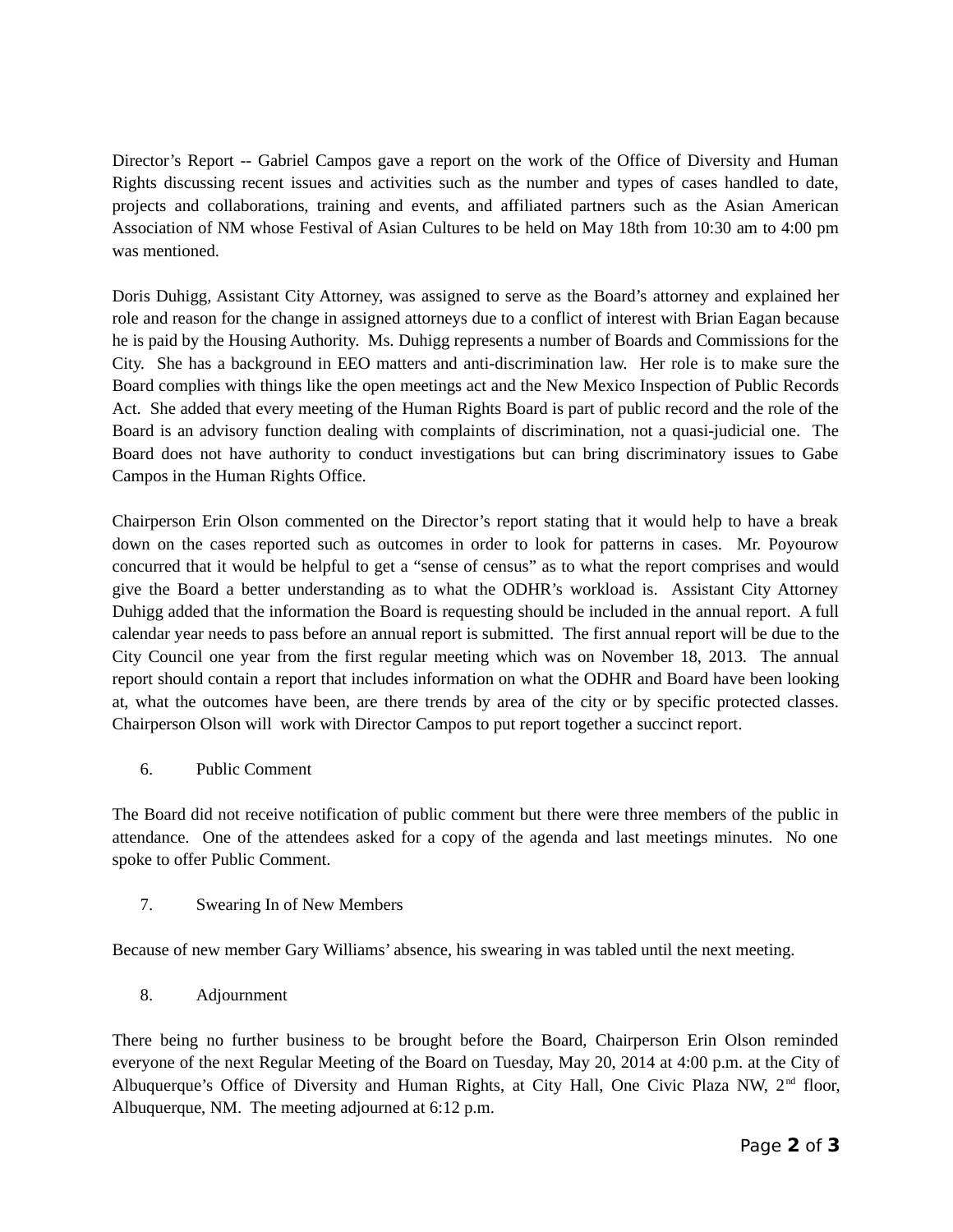Director's Report -- Gabriel Campos gave a report on the work of the Office of Diversity and Human Rights discussing recent issues and activities such as the number and types of cases handled to date, projects and collaborations, training and events, and affiliated partners such as the Asian American Association of NM whose Festival of Asian Cultures to be held on May 18th from 10:30 am to 4:00 pm was mentioned.

Doris Duhigg, Assistant City Attorney, was assigned to serve as the Board's attorney and explained her role and reason for the change in assigned attorneys due to a conflict of interest with Brian Eagan because he is paid by the Housing Authority. Ms. Duhigg represents a number of Boards and Commissions for the City. She has a background in EEO matters and anti-discrimination law. Her role is to make sure the Board complies with things like the open meetings act and the New Mexico Inspection of Public Records Act. She added that every meeting of the Human Rights Board is part of public record and the role of the Board is an advisory function dealing with complaints of discrimination, not a quasi-judicial one. The Board does not have authority to conduct investigations but can bring discriminatory issues to Gabe Campos in the Human Rights Office.

Chairperson Erin Olson commented on the Director's report stating that it would help to have a break down on the cases reported such as outcomes in order to look for patterns in cases. Mr. Poyourow concurred that it would be helpful to get a "sense of census" as to what the report comprises and would give the Board a better understanding as to what the ODHR's workload is. Assistant City Attorney Duhigg added that the information the Board is requesting should be included in the annual report. A full calendar year needs to pass before an annual report is submitted. The first annual report will be due to the City Council one year from the first regular meeting which was on November 18, 2013. The annual report should contain a report that includes information on what the ODHR and Board have been looking at, what the outcomes have been, are there trends by area of the city or by specific protected classes. Chairperson Olson will work with Director Campos to put report together a succinct report.

6. Public Comment

The Board did not receive notification of public comment but there were three members of the public in attendance. One of the attendees asked for a copy of the agenda and last meetings minutes. No one spoke to offer Public Comment.

7. Swearing In of New Members

Because of new member Gary Williams' absence, his swearing in was tabled until the next meeting.

8. Adjournment

There being no further business to be brought before the Board, Chairperson Erin Olson reminded everyone of the next Regular Meeting of the Board on Tuesday, May 20, 2014 at 4:00 p.m. at the City of Albuquerque's Office of Diversity and Human Rights, at City Hall, One Civic Plaza NW, 2<sup>nd</sup> floor, Albuquerque, NM. The meeting adjourned at 6:12 p.m.